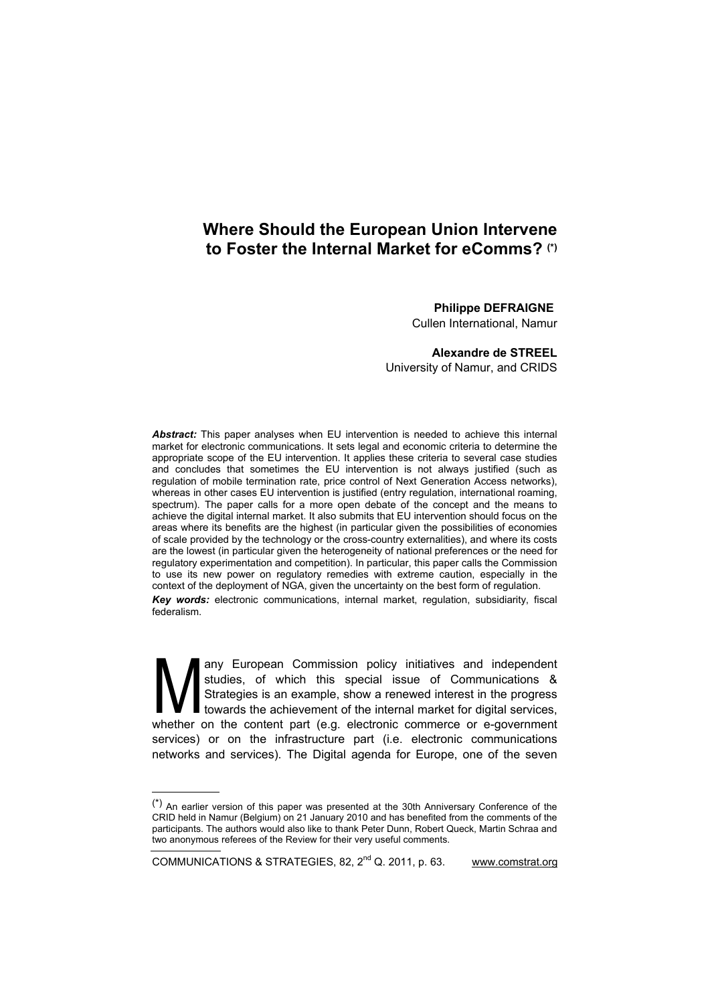# **Where Should the European Union Intervene to Foster the Internal Market for eComms? (\*)**

## **Philippe DEFRAIGNE**

Cullen International, Namur

## **Alexandre de STREEL**

University of Namur, and CRIDS

*Abstract:* This paper analyses when EU intervention is needed to achieve this internal market for electronic communications. It sets legal and economic criteria to determine the appropriate scope of the EU intervention. It applies these criteria to several case studies and concludes that sometimes the EU intervention is not always justified (such as regulation of mobile termination rate, price control of Next Generation Access networks), whereas in other cases EU intervention is justified (entry regulation, international roaming, spectrum). The paper calls for a more open debate of the concept and the means to achieve the digital internal market. It also submits that EU intervention should focus on the areas where its benefits are the highest (in particular given the possibilities of economies of scale provided by the technology or the cross-country externalities), and where its costs are the lowest (in particular given the heterogeneity of national preferences or the need for regulatory experimentation and competition). In particular, this paper calls the Commission to use its new power on regulatory remedies with extreme caution, especially in the context of the deployment of NGA, given the uncertainty on the best form of regulation.

*Key words:* electronic communications, internal market, regulation, subsidiarity, fiscal federalism.

any European Commission policy initiatives and independent studies, of which this special issue of Communications & Strategies is an example, show a renewed interest in the progress towards the achievement of the internal market for digital services, any European Commission policy initiatives and independent studies, of which this special issue of Communications & Strategies is an example, show a renewed interest in the progress towards the achievement of the internal services) or on the infrastructure part (i.e. electronic communications networks and services). The Digital agenda for Europe, one of the seven

 $(*)$  An earlier version of this paper was presented at the 30th Anniversary Conference of the CRID held in Namur (Belgium) on 21 January 2010 and has benefited from the comments of the participants. The authors would also like to thank Peter Dunn, Robert Queck, Martin Schraa and two anonymous referees of the Review for their very useful comments.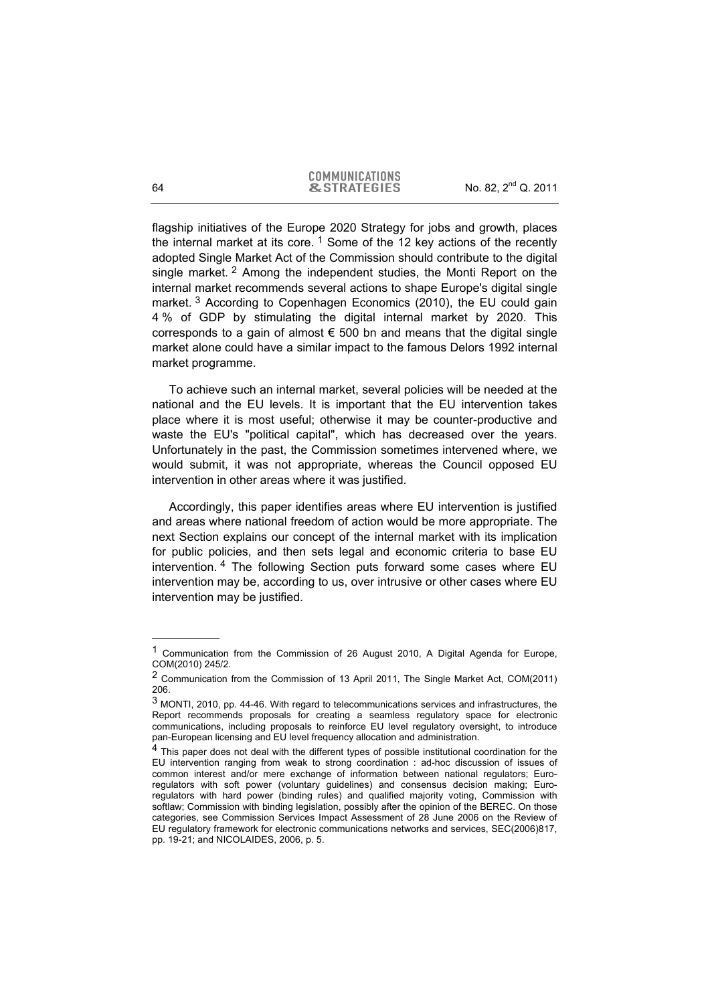flagship initiatives of the Europe 2020 Strategy for jobs and growth, places the internal market at its core.<sup>1</sup> Some of the 12 key actions of the recently adopted Single Market Act of the Commission should contribute to the digital single market. 2 Among the independent studies, the Monti Report on the internal market recommends several actions to shape Europe's digital single market.<sup>3</sup> According to Copenhagen Economics (2010), the EU could gain 4 % of GDP by stimulating the digital internal market by 2020. This corresponds to a gain of almost  $\epsilon$  500 bn and means that the digital single market alone could have a similar impact to the famous Delors 1992 internal market programme.

To achieve such an internal market, several policies will be needed at the national and the EU levels. It is important that the EU intervention takes place where it is most useful; otherwise it may be counter-productive and waste the EU's "political capital", which has decreased over the years. Unfortunately in the past, the Commission sometimes intervened where, we would submit, it was not appropriate, whereas the Council opposed EU intervention in other areas where it was justified.

Accordingly, this paper identifies areas where EU intervention is justified and areas where national freedom of action would be more appropriate. The next Section explains our concept of the internal market with its implication for public policies, and then sets legal and economic criteria to base EU intervention. 4 The following Section puts forward some cases where EU intervention may be, according to us, over intrusive or other cases where EU intervention may be justified.

<sup>1</sup> Communication from the Commission of 26 August 2010, A Digital Agenda for Europe, COM(2010) 245/2.

<sup>2</sup> Communication from the Commission of 13 April 2011, The Single Market Act, COM(2011) 206.

<sup>3</sup> MONTI, 2010, pp. 44-46. With regard to telecommunications services and infrastructures, the Report recommends proposals for creating a seamless regulatory space for electronic communications, including proposals to reinforce EU level regulatory oversight, to introduce pan-European licensing and EU level frequency allocation and administration.

<sup>&</sup>lt;sup>4</sup> This paper does not deal with the different types of possible institutional coordination for the EU intervention ranging from weak to strong coordination : ad-hoc discussion of issues of common interest and/or mere exchange of information between national regulators; Euroregulators with soft power (voluntary guidelines) and consensus decision making; Euroregulators with hard power (binding rules) and qualified majority voting, Commission with softlaw; Commission with binding legislation, possibly after the opinion of the BEREC. On those categories, see Commission Services Impact Assessment of 28 June 2006 on the Review of EU regulatory framework for electronic communications networks and services, SEC(2006)817, pp. 19-21; and NICOLAIDES, 2006, p. 5.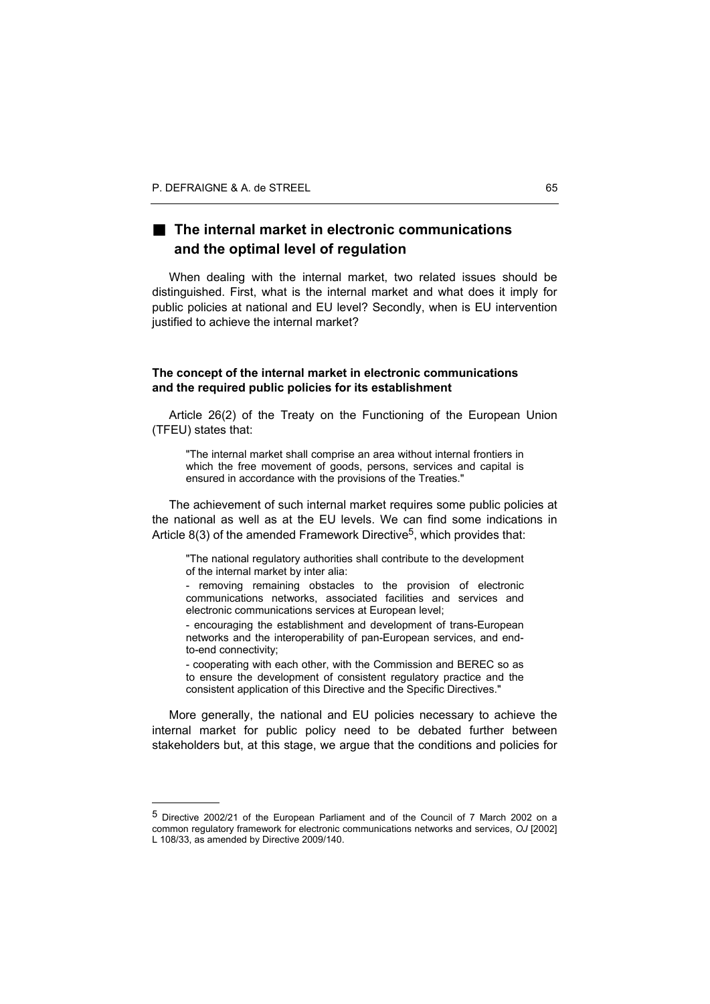l

## ■ The internal market in electronic communications **and the optimal level of regulation**

When dealing with the internal market, two related issues should be distinguished. First, what is the internal market and what does it imply for public policies at national and EU level? Secondly, when is EU intervention justified to achieve the internal market?

### **The concept of the internal market in electronic communications and the required public policies for its establishment**

Article 26(2) of the Treaty on the Functioning of the European Union (TFEU) states that:

"The internal market shall comprise an area without internal frontiers in which the free movement of goods, persons, services and capital is ensured in accordance with the provisions of the Treaties."

The achievement of such internal market requires some public policies at the national as well as at the EU levels. We can find some indications in Article  $8(3)$  of the amended Framework Directive<sup>5</sup>, which provides that:

"The national regulatory authorities shall contribute to the development of the internal market by inter alia:

- removing remaining obstacles to the provision of electronic communications networks, associated facilities and services and electronic communications services at European level;

- encouraging the establishment and development of trans-European networks and the interoperability of pan-European services, and endto-end connectivity;

- cooperating with each other, with the Commission and BEREC so as to ensure the development of consistent regulatory practice and the consistent application of this Directive and the Specific Directives."

More generally, the national and EU policies necessary to achieve the internal market for public policy need to be debated further between stakeholders but, at this stage, we argue that the conditions and policies for

<sup>5</sup> Directive 2002/21 of the European Parliament and of the Council of 7 March 2002 on a common regulatory framework for electronic communications networks and services, *OJ* [2002] L 108/33, as amended by Directive 2009/140.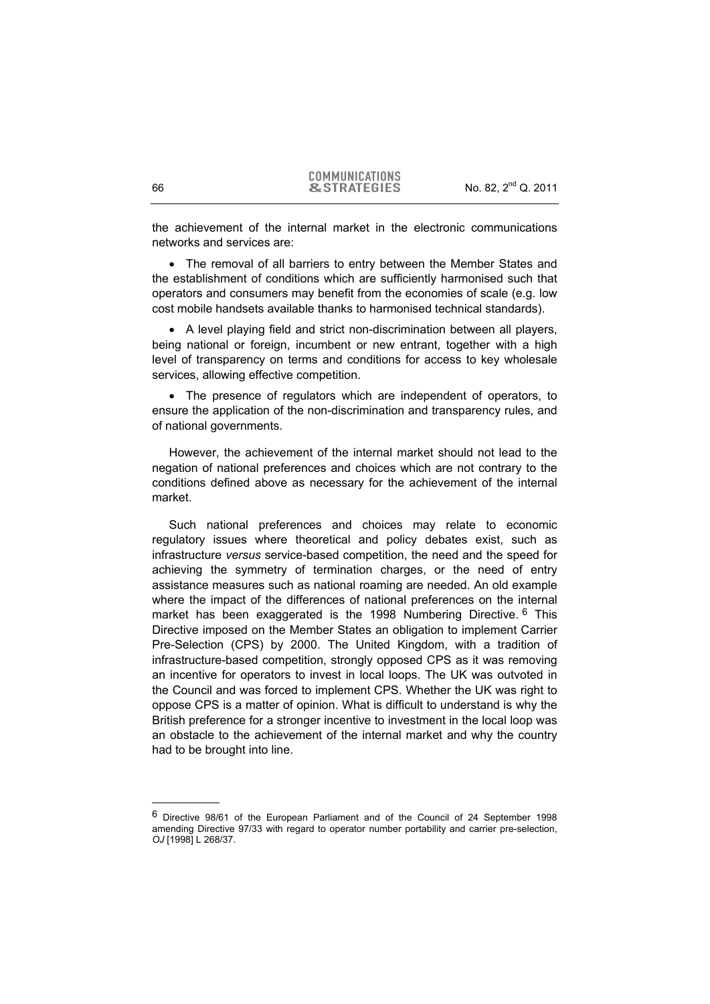the achievement of the internal market in the electronic communications networks and services are:

• The removal of all barriers to entry between the Member States and the establishment of conditions which are sufficiently harmonised such that operators and consumers may benefit from the economies of scale (e.g. low cost mobile handsets available thanks to harmonised technical standards).

• A level playing field and strict non-discrimination between all players, being national or foreign, incumbent or new entrant, together with a high level of transparency on terms and conditions for access to key wholesale services, allowing effective competition.

• The presence of regulators which are independent of operators, to ensure the application of the non-discrimination and transparency rules, and of national governments.

However, the achievement of the internal market should not lead to the negation of national preferences and choices which are not contrary to the conditions defined above as necessary for the achievement of the internal market.

Such national preferences and choices may relate to economic regulatory issues where theoretical and policy debates exist, such as infrastructure *versus* service-based competition, the need and the speed for achieving the symmetry of termination charges, or the need of entry assistance measures such as national roaming are needed. An old example where the impact of the differences of national preferences on the internal market has been exaggerated is the 1998 Numbering Directive. <sup>6</sup> This Directive imposed on the Member States an obligation to implement Carrier Pre-Selection (CPS) by 2000. The United Kingdom, with a tradition of infrastructure-based competition, strongly opposed CPS as it was removing an incentive for operators to invest in local loops. The UK was outvoted in the Council and was forced to implement CPS. Whether the UK was right to oppose CPS is a matter of opinion. What is difficult to understand is why the British preference for a stronger incentive to investment in the local loop was an obstacle to the achievement of the internal market and why the country had to be brought into line.

<sup>6</sup> Directive 98/61 of the European Parliament and of the Council of 24 September 1998 amending Directive 97/33 with regard to operator number portability and carrier pre-selection, *OJ* [1998] L 268/37.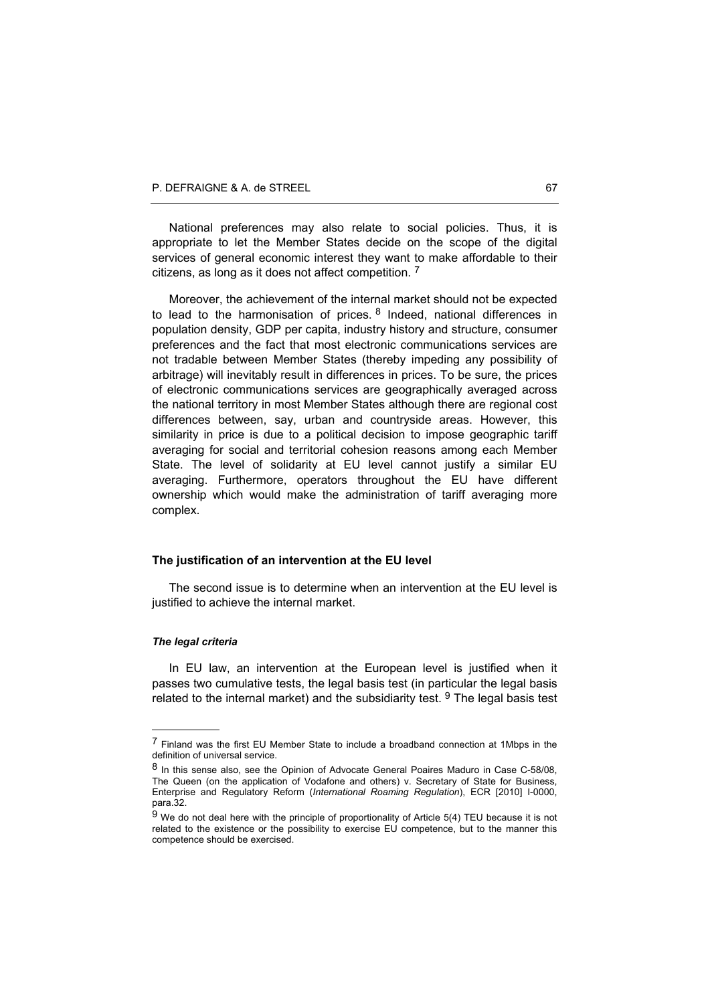National preferences may also relate to social policies. Thus, it is appropriate to let the Member States decide on the scope of the digital services of general economic interest they want to make affordable to their citizens, as long as it does not affect competition. 7

Moreover, the achievement of the internal market should not be expected to lead to the harmonisation of prices.  $8$  Indeed, national differences in population density, GDP per capita, industry history and structure, consumer preferences and the fact that most electronic communications services are not tradable between Member States (thereby impeding any possibility of arbitrage) will inevitably result in differences in prices. To be sure, the prices of electronic communications services are geographically averaged across the national territory in most Member States although there are regional cost differences between, say, urban and countryside areas. However, this similarity in price is due to a political decision to impose geographic tariff averaging for social and territorial cohesion reasons among each Member State. The level of solidarity at EU level cannot justify a similar EU averaging. Furthermore, operators throughout the EU have different ownership which would make the administration of tariff averaging more complex.

### **The justification of an intervention at the EU level**

The second issue is to determine when an intervention at the EU level is justified to achieve the internal market.

#### *The legal criteria*

l

In EU law, an intervention at the European level is justified when it passes two cumulative tests, the legal basis test (in particular the legal basis related to the internal market) and the subsidiarity test.  $9$  The legal basis test

<sup>7</sup> Finland was the first EU Member State to include a broadband connection at 1Mbps in the definition of universal service.

<sup>8</sup> In this sense also, see the Opinion of Advocate General Poaires Maduro in Case C-58/08, The Queen (on the application of Vodafone and others) v. Secretary of State for Business, Enterprise and Regulatory Reform (*International Roaming Regulation*), ECR [2010] I-0000, para.32.

 $9$  We do not deal here with the principle of proportionality of Article 5(4) TEU because it is not related to the existence or the possibility to exercise EU competence, but to the manner this competence should be exercised.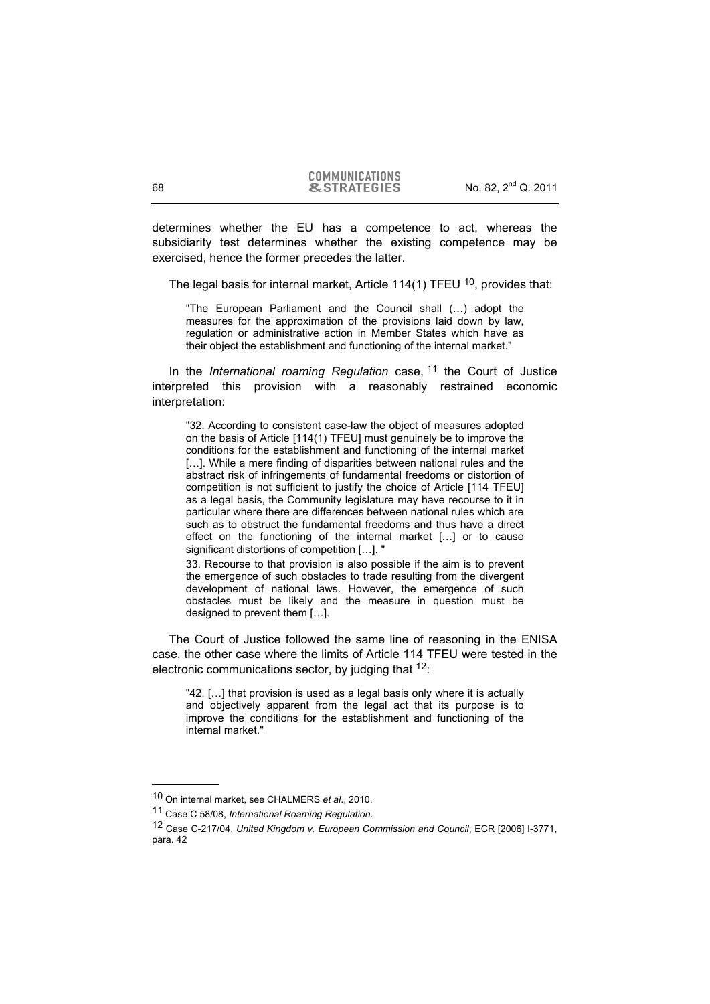determines whether the EU has a competence to act, whereas the subsidiarity test determines whether the existing competence may be exercised, hence the former precedes the latter.

The legal basis for internal market, Article 114(1) TFEU  $10$ , provides that:

"The European Parliament and the Council shall (…) adopt the measures for the approximation of the provisions laid down by law, regulation or administrative action in Member States which have as their object the establishment and functioning of the internal market."

In the *International roaming Regulation* case, 11 the Court of Justice interpreted this provision with a reasonably restrained economic interpretation:

"32. According to consistent case-law the object of measures adopted on the basis of Article [114(1) TFEU] must genuinely be to improve the conditions for the establishment and functioning of the internal market [...]. While a mere finding of disparities between national rules and the abstract risk of infringements of fundamental freedoms or distortion of competition is not sufficient to justify the choice of Article [114 TFEU] as a legal basis, the Community legislature may have recourse to it in particular where there are differences between national rules which are such as to obstruct the fundamental freedoms and thus have a direct effect on the functioning of the internal market […] or to cause significant distortions of competition […]. "

33. Recourse to that provision is also possible if the aim is to prevent the emergence of such obstacles to trade resulting from the divergent development of national laws. However, the emergence of such obstacles must be likely and the measure in question must be designed to prevent them […].

The Court of Justice followed the same line of reasoning in the ENISA case, the other case where the limits of Article 114 TFEU were tested in the electronic communications sector, by judging that  $12$ .

"42. […] that provision is used as a legal basis only where it is actually and objectively apparent from the legal act that its purpose is to improve the conditions for the establishment and functioning of the internal market."

<sup>10</sup> On internal market, see CHALMERS *et al*., 2010.

<sup>11</sup> Case C 58/08, *International Roaming Regulation*.

<sup>12</sup> Case C-217/04, *United Kingdom v. European Commission and Council*, ECR [2006] I-3771, para. 42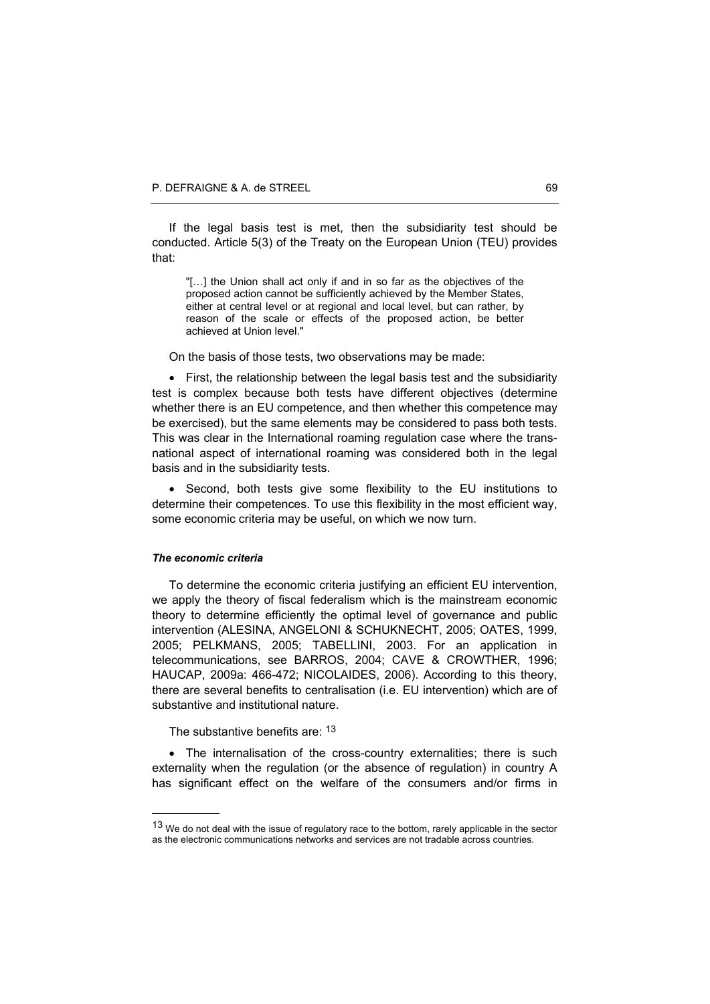If the legal basis test is met, then the subsidiarity test should be conducted. Article 5(3) of the Treaty on the European Union (TEU) provides that:

"[…] the Union shall act only if and in so far as the objectives of the proposed action cannot be sufficiently achieved by the Member States, either at central level or at regional and local level, but can rather, by reason of the scale or effects of the proposed action, be better achieved at Union level."

On the basis of those tests, two observations may be made:

• First, the relationship between the legal basis test and the subsidiarity test is complex because both tests have different objectives (determine whether there is an EU competence, and then whether this competence may be exercised), but the same elements may be considered to pass both tests. This was clear in the International roaming regulation case where the transnational aspect of international roaming was considered both in the legal basis and in the subsidiarity tests.

• Second, both tests give some flexibility to the EU institutions to determine their competences. To use this flexibility in the most efficient way, some economic criteria may be useful, on which we now turn.

#### *The economic criteria*

l

To determine the economic criteria justifying an efficient EU intervention, we apply the theory of fiscal federalism which is the mainstream economic theory to determine efficiently the optimal level of governance and public intervention (ALESINA, ANGELONI & SCHUKNECHT, 2005; OATES, 1999, 2005; PELKMANS, 2005; TABELLINI, 2003. For an application in telecommunications, see BARROS, 2004; CAVE & CROWTHER, 1996; HAUCAP, 2009a: 466-472; NICOLAIDES, 2006). According to this theory, there are several benefits to centralisation (i.e. EU intervention) which are of substantive and institutional nature.

The substantive benefits are: 13

• The internalisation of the cross-country externalities; there is such externality when the regulation (or the absence of regulation) in country A has significant effect on the welfare of the consumers and/or firms in

<sup>13</sup> We do not deal with the issue of regulatory race to the bottom, rarely applicable in the sector as the electronic communications networks and services are not tradable across countries.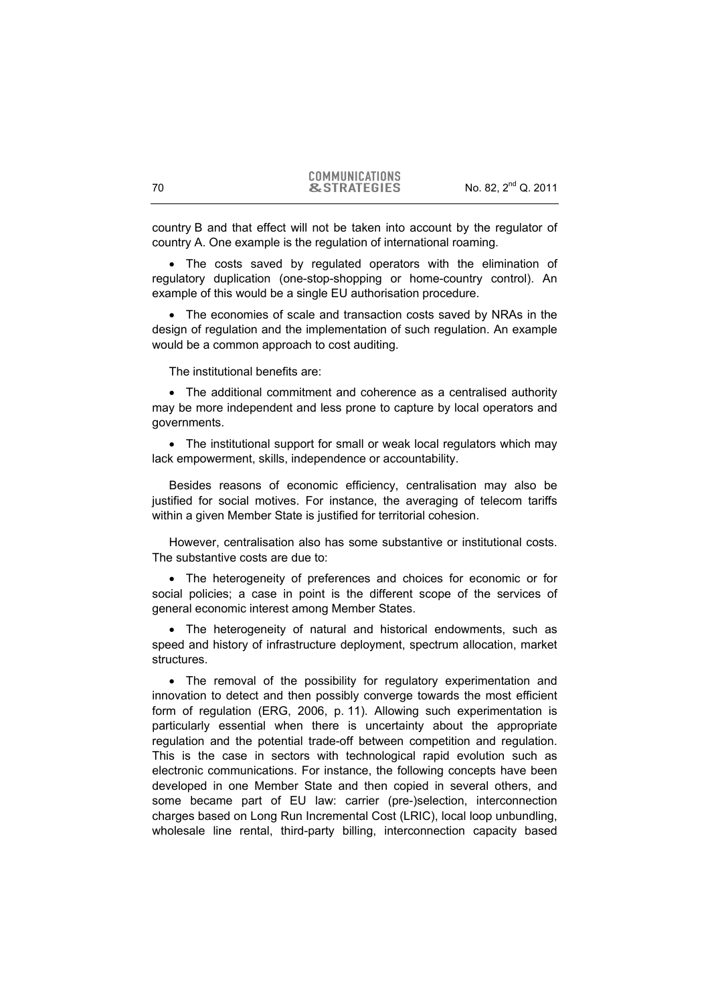country B and that effect will not be taken into account by the regulator of country A. One example is the regulation of international roaming.

• The costs saved by regulated operators with the elimination of regulatory duplication (one-stop-shopping or home-country control). An example of this would be a single EU authorisation procedure.

• The economies of scale and transaction costs saved by NRAs in the design of regulation and the implementation of such regulation. An example would be a common approach to cost auditing.

The institutional benefits are:

• The additional commitment and coherence as a centralised authority may be more independent and less prone to capture by local operators and governments.

• The institutional support for small or weak local regulators which may lack empowerment, skills, independence or accountability.

Besides reasons of economic efficiency, centralisation may also be justified for social motives. For instance, the averaging of telecom tariffs within a given Member State is justified for territorial cohesion.

However, centralisation also has some substantive or institutional costs. The substantive costs are due to:

• The heterogeneity of preferences and choices for economic or for social policies; a case in point is the different scope of the services of general economic interest among Member States.

• The heterogeneity of natural and historical endowments, such as speed and history of infrastructure deployment, spectrum allocation, market structures.

• The removal of the possibility for regulatory experimentation and innovation to detect and then possibly converge towards the most efficient form of regulation (ERG, 2006, p. 11). Allowing such experimentation is particularly essential when there is uncertainty about the appropriate regulation and the potential trade-off between competition and regulation. This is the case in sectors with technological rapid evolution such as electronic communications. For instance, the following concepts have been developed in one Member State and then copied in several others, and some became part of EU law: carrier (pre-)selection, interconnection charges based on Long Run Incremental Cost (LRIC), local loop unbundling, wholesale line rental, third-party billing, interconnection capacity based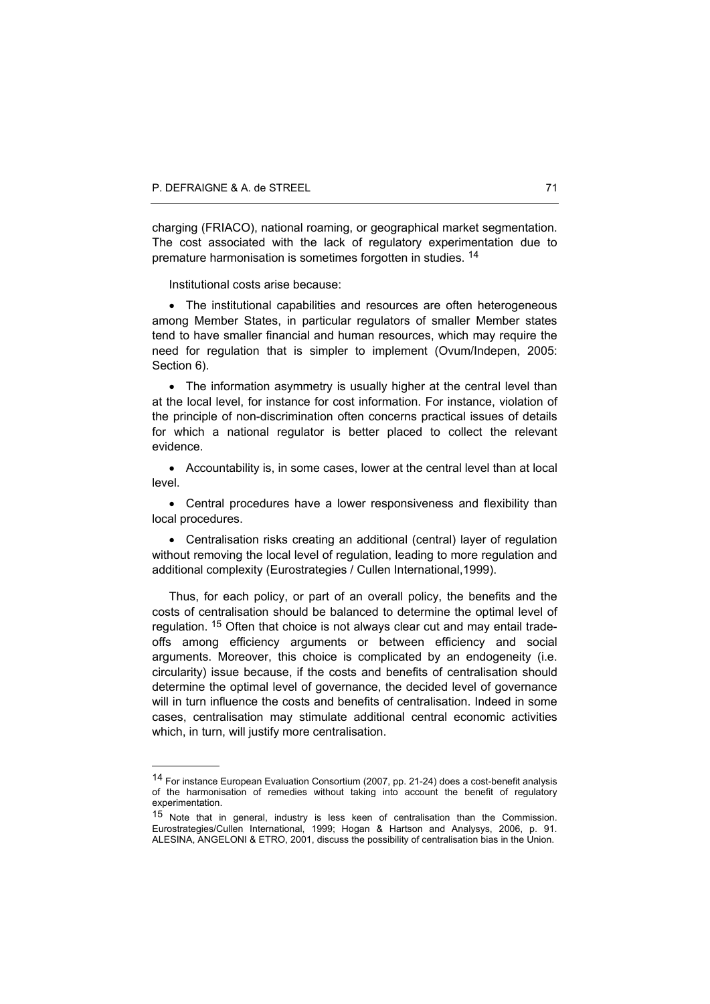l

charging (FRIACO), national roaming, or geographical market segmentation. The cost associated with the lack of regulatory experimentation due to premature harmonisation is sometimes forgotten in studies. 14

Institutional costs arise because:

• The institutional capabilities and resources are often heterogeneous among Member States, in particular regulators of smaller Member states tend to have smaller financial and human resources, which may require the need for regulation that is simpler to implement (Ovum/Indepen, 2005: Section 6).

• The information asymmetry is usually higher at the central level than at the local level, for instance for cost information. For instance, violation of the principle of non-discrimination often concerns practical issues of details for which a national regulator is better placed to collect the relevant evidence.

• Accountability is, in some cases, lower at the central level than at local level.

• Central procedures have a lower responsiveness and flexibility than local procedures.

• Centralisation risks creating an additional (central) layer of regulation without removing the local level of regulation, leading to more regulation and additional complexity (Eurostrategies / Cullen International,1999).

Thus, for each policy, or part of an overall policy, the benefits and the costs of centralisation should be balanced to determine the optimal level of regulation. 15 Often that choice is not always clear cut and may entail tradeoffs among efficiency arguments or between efficiency and social arguments. Moreover, this choice is complicated by an endogeneity (i.e. circularity) issue because, if the costs and benefits of centralisation should determine the optimal level of governance, the decided level of governance will in turn influence the costs and benefits of centralisation. Indeed in some cases, centralisation may stimulate additional central economic activities which, in turn, will justify more centralisation.

<sup>14</sup> For instance European Evaluation Consortium (2007, pp. 21-24) does a cost-benefit analysis of the harmonisation of remedies without taking into account the benefit of regulatory experimentation.

<sup>15</sup> Note that in general, industry is less keen of centralisation than the Commission. Eurostrategies/Cullen International, 1999; Hogan & Hartson and Analysys, 2006, p. 91. ALESINA, ANGELONI & ETRO, 2001, discuss the possibility of centralisation bias in the Union.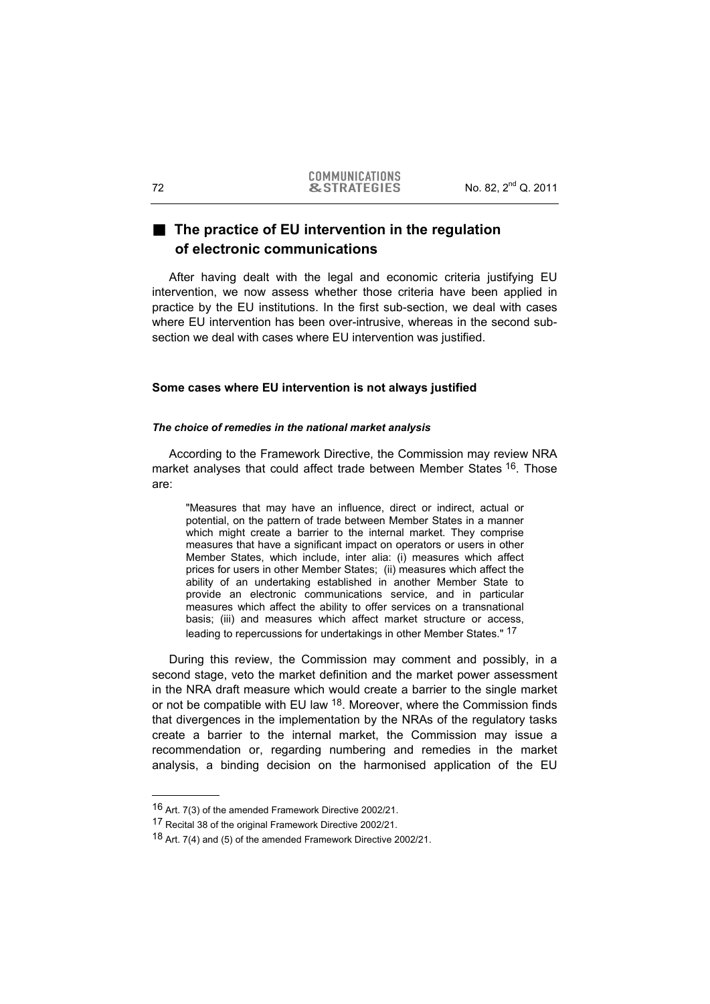## **The practice of EU intervention in the regulation of electronic communications**

After having dealt with the legal and economic criteria justifying EU intervention, we now assess whether those criteria have been applied in practice by the EU institutions. In the first sub-section, we deal with cases where EU intervention has been over-intrusive, whereas in the second subsection we deal with cases where EU intervention was justified.

## **Some cases where EU intervention is not always justified**

#### *The choice of remedies in the national market analysis*

According to the Framework Directive, the Commission may review NRA market analyses that could affect trade between Member States <sup>16</sup>. Those are:

"Measures that may have an influence, direct or indirect, actual or potential, on the pattern of trade between Member States in a manner which might create a barrier to the internal market. They comprise measures that have a significant impact on operators or users in other Member States, which include, inter alia: (i) measures which affect prices for users in other Member States; (ii) measures which affect the ability of an undertaking established in another Member State to provide an electronic communications service, and in particular measures which affect the ability to offer services on a transnational basis; (iii) and measures which affect market structure or access, leading to repercussions for undertakings in other Member States." 17

During this review, the Commission may comment and possibly, in a second stage, veto the market definition and the market power assessment in the NRA draft measure which would create a barrier to the single market or not be compatible with EU law <sup>18</sup>. Moreover, where the Commission finds that divergences in the implementation by the NRAs of the regulatory tasks create a barrier to the internal market, the Commission may issue a recommendation or, regarding numbering and remedies in the market analysis, a binding decision on the harmonised application of the EU

<sup>16</sup> Art. 7(3) of the amended Framework Directive 2002/21.

<sup>17</sup> Recital 38 of the original Framework Directive 2002/21.

<sup>18</sup> Art. 7(4) and (5) of the amended Framework Directive 2002/21.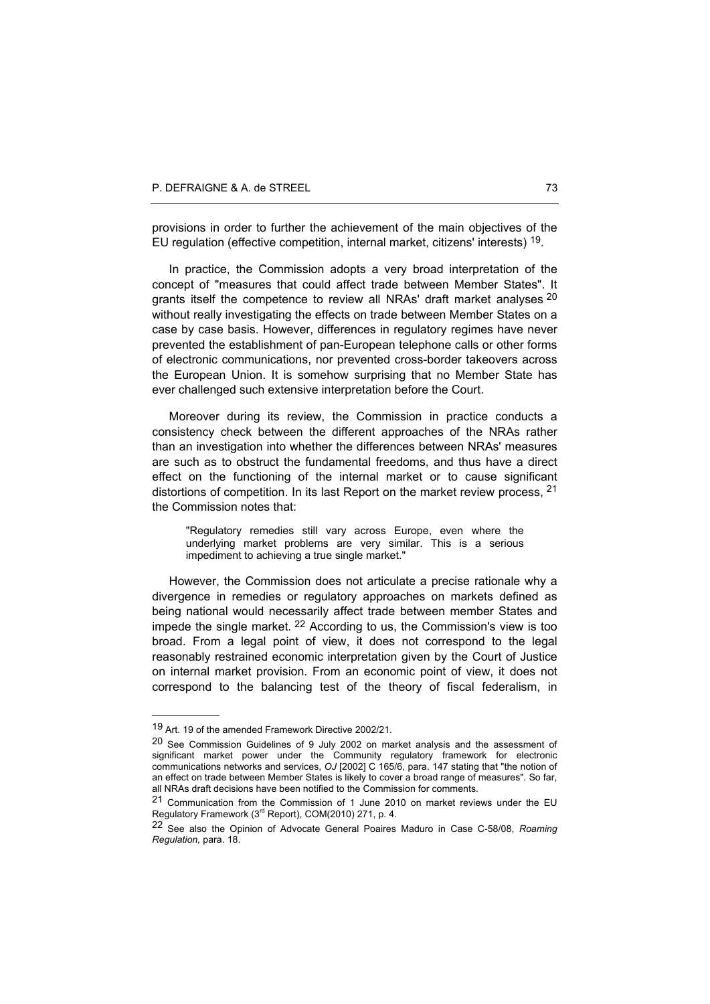provisions in order to further the achievement of the main objectives of the EU regulation (effective competition, internal market, citizens' interests) 19.

In practice, the Commission adopts a very broad interpretation of the concept of "measures that could affect trade between Member States". It grants itself the competence to review all NRAs' draft market analyses  $20$ without really investigating the effects on trade between Member States on a case by case basis. However, differences in regulatory regimes have never prevented the establishment of pan-European telephone calls or other forms of electronic communications, nor prevented cross-border takeovers across the European Union. It is somehow surprising that no Member State has ever challenged such extensive interpretation before the Court.

Moreover during its review, the Commission in practice conducts a consistency check between the different approaches of the NRAs rather than an investigation into whether the differences between NRAs' measures are such as to obstruct the fundamental freedoms, and thus have a direct effect on the functioning of the internal market or to cause significant distortions of competition. In its last Report on the market review process, <sup>21</sup> the Commission notes that:

"Regulatory remedies still vary across Europe, even where the underlying market problems are very similar. This is a serious impediment to achieving a true single market."

However, the Commission does not articulate a precise rationale why a divergence in remedies or regulatory approaches on markets defined as being national would necessarily affect trade between member States and impede the single market. 22 According to us, the Commission's view is too broad. From a legal point of view, it does not correspond to the legal reasonably restrained economic interpretation given by the Court of Justice on internal market provision. From an economic point of view, it does not correspond to the balancing test of the theory of fiscal federalism, in

<sup>19</sup> Art. 19 of the amended Framework Directive 2002/21.

<sup>20</sup> See Commission Guidelines of 9 July 2002 on market analysis and the assessment of significant market power under the Community regulatory framework for electronic communications networks and services, *OJ* [2002] C 165/6, para. 147 stating that "the notion of an effect on trade between Member States is likely to cover a broad range of measures". So far, all NRAs draft decisions have been notified to the Commission for comments.

<sup>21</sup> Communication from the Commission of 1 June 2010 on market reviews under the EU Regulatory Framework  $(3^{rd}$  Report), COM(2010) 271, p. 4.

<sup>22</sup> See also the Opinion of Advocate General Poaires Maduro in Case C-58/08, *Roaming Regulation,* para. 18.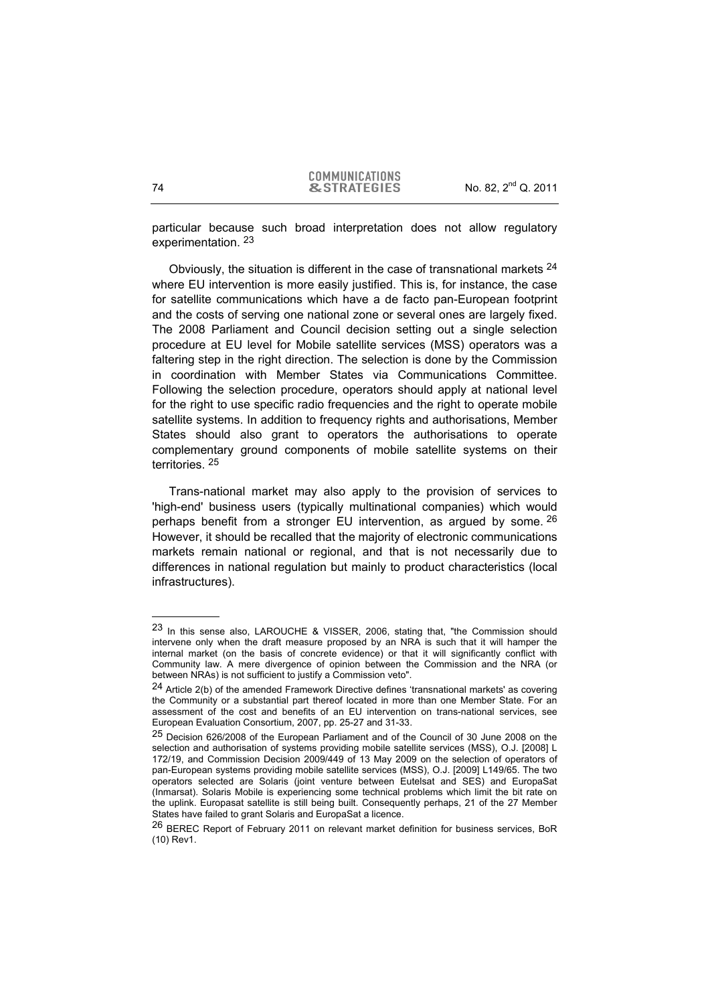particular because such broad interpretation does not allow regulatory experimentation. 23

Obviously, the situation is different in the case of transnational markets  $24$ where EU intervention is more easily justified. This is, for instance, the case for satellite communications which have a de facto pan-European footprint and the costs of serving one national zone or several ones are largely fixed. The 2008 Parliament and Council decision setting out a single selection procedure at EU level for Mobile satellite services (MSS) operators was a faltering step in the right direction. The selection is done by the Commission in coordination with Member States via Communications Committee. Following the selection procedure, operators should apply at national level for the right to use specific radio frequencies and the right to operate mobile satellite systems. In addition to frequency rights and authorisations, Member States should also grant to operators the authorisations to operate complementary ground components of mobile satellite systems on their territories. 25

Trans-national market may also apply to the provision of services to 'high-end' business users (typically multinational companies) which would perhaps benefit from a stronger EU intervention, as argued by some. 26 However, it should be recalled that the majority of electronic communications markets remain national or regional, and that is not necessarily due to differences in national regulation but mainly to product characteristics (local infrastructures).

<sup>23</sup> In this sense also, LAROUCHE & VISSER, 2006, stating that, "the Commission should intervene only when the draft measure proposed by an NRA is such that it will hamper the internal market (on the basis of concrete evidence) or that it will significantly conflict with Community law. A mere divergence of opinion between the Commission and the NRA (or between NRAs) is not sufficient to justify a Commission veto".

<sup>&</sup>lt;sup>24</sup> Article 2(b) of the amended Framework Directive defines 'transnational markets' as covering the Community or a substantial part thereof located in more than one Member State. For an assessment of the cost and benefits of an EU intervention on trans-national services, see European Evaluation Consortium, 2007, pp. 25-27 and 31-33.

<sup>25</sup> Decision 626/2008 of the European Parliament and of the Council of 30 June 2008 on the selection and authorisation of systems providing mobile satellite services (MSS), O.J. [2008] L 172/19, and Commission Decision 2009/449 of 13 May 2009 on the selection of operators of pan-European systems providing mobile satellite services (MSS), O.J. [2009] L149/65. The two operators selected are Solaris (joint venture between Eutelsat and SES) and EuropaSat (Inmarsat). Solaris Mobile is experiencing some technical problems which limit the bit rate on the uplink. Europasat satellite is still being built. Consequently perhaps, 21 of the 27 Member States have failed to grant Solaris and EuropaSat a licence.

<sup>&</sup>lt;sup>26</sup> BEREC Report of February 2011 on relevant market definition for business services, BoR (10) Rev1.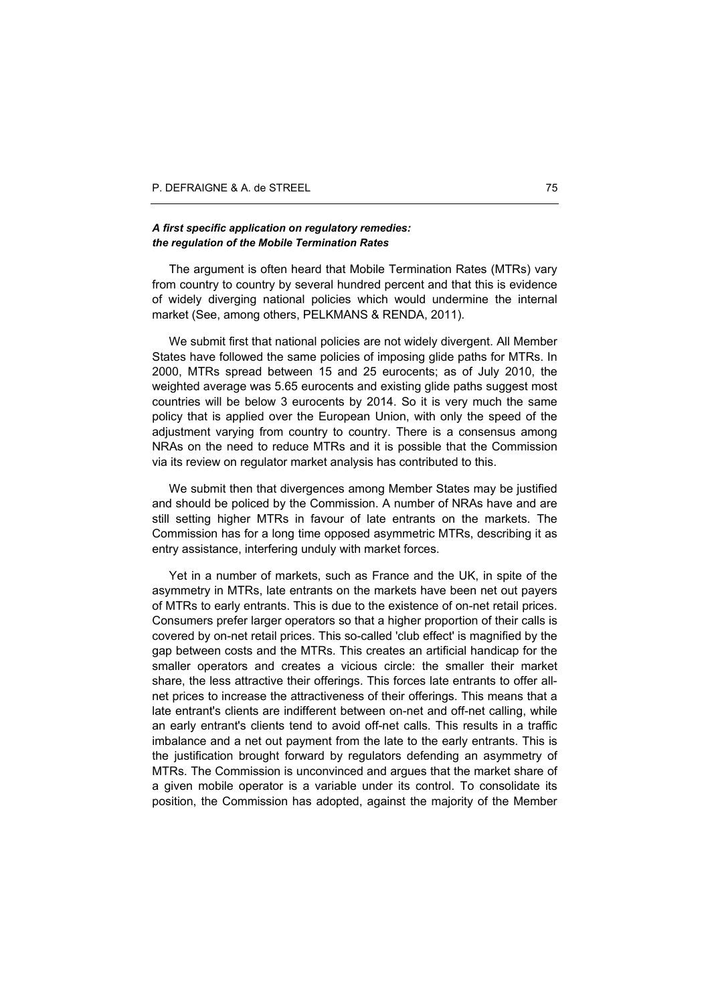#### *A first specific application on regulatory remedies: the regulation of the Mobile Termination Rates*

The argument is often heard that Mobile Termination Rates (MTRs) vary from country to country by several hundred percent and that this is evidence of widely diverging national policies which would undermine the internal market (See, among others, PELKMANS & RENDA, 2011).

We submit first that national policies are not widely divergent. All Member States have followed the same policies of imposing glide paths for MTRs. In 2000, MTRs spread between 15 and 25 eurocents; as of July 2010, the weighted average was 5.65 eurocents and existing glide paths suggest most countries will be below 3 eurocents by 2014. So it is very much the same policy that is applied over the European Union, with only the speed of the adjustment varying from country to country. There is a consensus among NRAs on the need to reduce MTRs and it is possible that the Commission via its review on regulator market analysis has contributed to this.

We submit then that divergences among Member States may be justified and should be policed by the Commission. A number of NRAs have and are still setting higher MTRs in favour of late entrants on the markets. The Commission has for a long time opposed asymmetric MTRs, describing it as entry assistance, interfering unduly with market forces.

Yet in a number of markets, such as France and the UK, in spite of the asymmetry in MTRs, late entrants on the markets have been net out payers of MTRs to early entrants. This is due to the existence of on-net retail prices. Consumers prefer larger operators so that a higher proportion of their calls is covered by on-net retail prices. This so-called 'club effect' is magnified by the gap between costs and the MTRs. This creates an artificial handicap for the smaller operators and creates a vicious circle: the smaller their market share, the less attractive their offerings. This forces late entrants to offer allnet prices to increase the attractiveness of their offerings. This means that a late entrant's clients are indifferent between on-net and off-net calling, while an early entrant's clients tend to avoid off-net calls. This results in a traffic imbalance and a net out payment from the late to the early entrants. This is the justification brought forward by regulators defending an asymmetry of MTRs. The Commission is unconvinced and argues that the market share of a given mobile operator is a variable under its control. To consolidate its position, the Commission has adopted, against the majority of the Member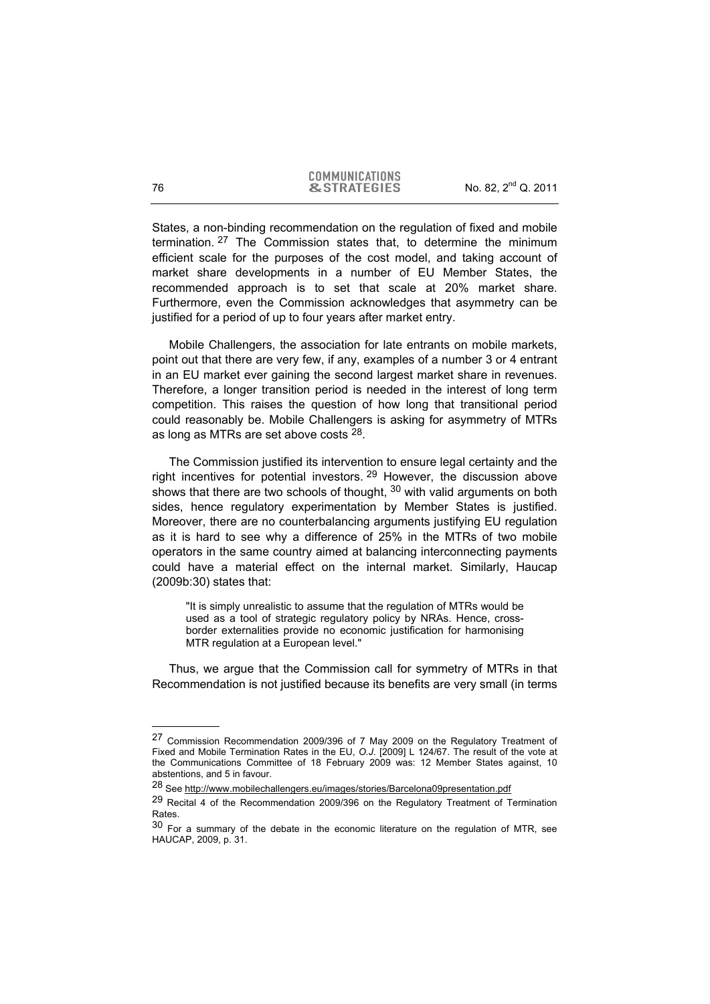States, a non-binding recommendation on the regulation of fixed and mobile termination. 27 The Commission states that, to determine the minimum efficient scale for the purposes of the cost model, and taking account of market share developments in a number of EU Member States, the recommended approach is to set that scale at 20% market share. Furthermore, even the Commission acknowledges that asymmetry can be justified for a period of up to four years after market entry.

Mobile Challengers, the association for late entrants on mobile markets, point out that there are very few, if any, examples of a number 3 or 4 entrant in an EU market ever gaining the second largest market share in revenues. Therefore, a longer transition period is needed in the interest of long term competition. This raises the question of how long that transitional period could reasonably be. Mobile Challengers is asking for asymmetry of MTRs as long as MTRs are set above costs 28.

The Commission justified its intervention to ensure legal certainty and the right incentives for potential investors.  $29$  However, the discussion above shows that there are two schools of thought, <sup>30</sup> with valid arguments on both sides, hence regulatory experimentation by Member States is justified. Moreover, there are no counterbalancing arguments justifying EU regulation as it is hard to see why a difference of 25% in the MTRs of two mobile operators in the same country aimed at balancing interconnecting payments could have a material effect on the internal market. Similarly, Haucap (2009b:30) states that:

"It is simply unrealistic to assume that the regulation of MTRs would be used as a tool of strategic regulatory policy by NRAs. Hence, crossborder externalities provide no economic justification for harmonising MTR regulation at a European level."

Thus, we argue that the Commission call for symmetry of MTRs in that Recommendation is not justified because its benefits are very small (in terms

<sup>27</sup> Commission Recommendation 2009/396 of 7 May 2009 on the Regulatory Treatment of Fixed and Mobile Termination Rates in the EU, *O.J*. [2009] L 124/67. The result of the vote at the Communications Committee of 18 February 2009 was: 12 Member States against, 10 abstentions, and 5 in favour.

<sup>28</sup> See http://www.mobilechallengers.eu/images/stories/Barcelona09presentation.pdf

<sup>29</sup> Recital 4 of the Recommendation 2009/396 on the Regulatory Treatment of Termination Rates.

 $30$  For a summary of the debate in the economic literature on the regulation of MTR, see HAUCAP, 2009, p. 31.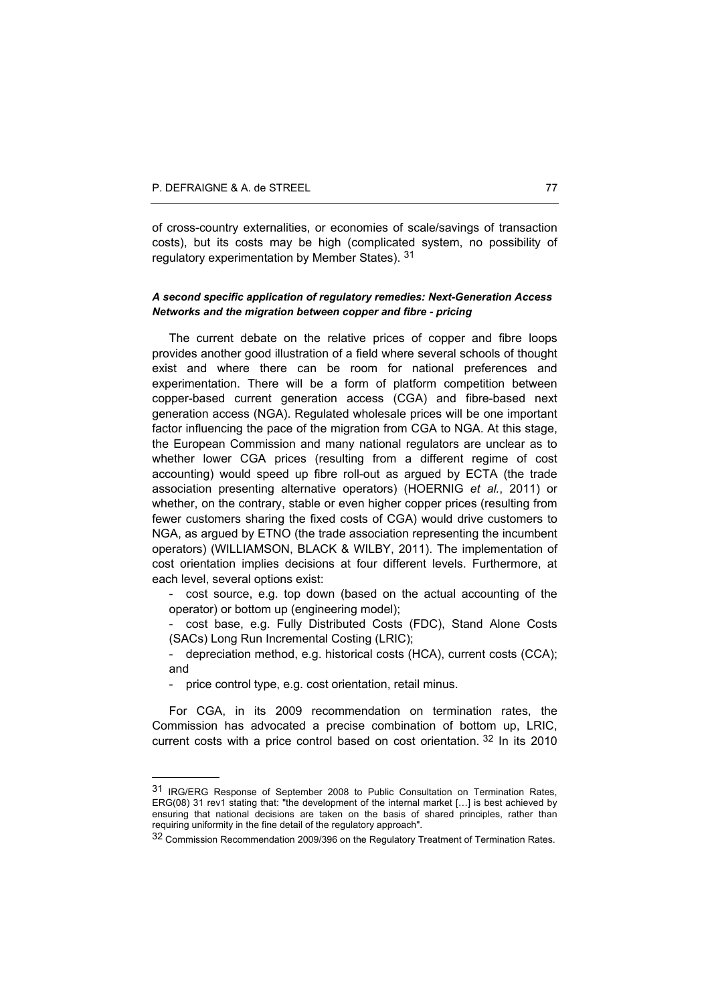of cross-country externalities, or economies of scale/savings of transaction costs), but its costs may be high (complicated system, no possibility of regulatory experimentation by Member States). 31

## *A second specific application of regulatory remedies: Next-Generation Access Networks and the migration between copper and fibre - pricing*

The current debate on the relative prices of copper and fibre loops provides another good illustration of a field where several schools of thought exist and where there can be room for national preferences and experimentation. There will be a form of platform competition between copper-based current generation access (CGA) and fibre-based next generation access (NGA). Regulated wholesale prices will be one important factor influencing the pace of the migration from CGA to NGA. At this stage, the European Commission and many national regulators are unclear as to whether lower CGA prices (resulting from a different regime of cost accounting) would speed up fibre roll-out as argued by ECTA (the trade association presenting alternative operators) (HOERNIG *et al.*, 2011) or whether, on the contrary, stable or even higher copper prices (resulting from fewer customers sharing the fixed costs of CGA) would drive customers to NGA, as argued by ETNO (the trade association representing the incumbent operators) (WILLIAMSON, BLACK & WILBY, 2011). The implementation of cost orientation implies decisions at four different levels. Furthermore, at each level, several options exist:

cost source, e.g. top down (based on the actual accounting of the operator) or bottom up (engineering model);

cost base, e.g. Fully Distributed Costs (FDC), Stand Alone Costs (SACs) Long Run Incremental Costing (LRIC);

- depreciation method, e.g. historical costs (HCA), current costs (CCA); and

- price control type, e.g. cost orientation, retail minus.

l

For CGA, in its 2009 recommendation on termination rates, the Commission has advocated a precise combination of bottom up, LRIC, current costs with a price control based on cost orientation. <sup>32</sup> In its 2010

<sup>31</sup> IRG/ERG Response of September 2008 to Public Consultation on Termination Rates, ERG(08) 31 rev1 stating that: "the development of the internal market […] is best achieved by ensuring that national decisions are taken on the basis of shared principles, rather than requiring uniformity in the fine detail of the regulatory approach".

<sup>32</sup> Commission Recommendation 2009/396 on the Regulatory Treatment of Termination Rates.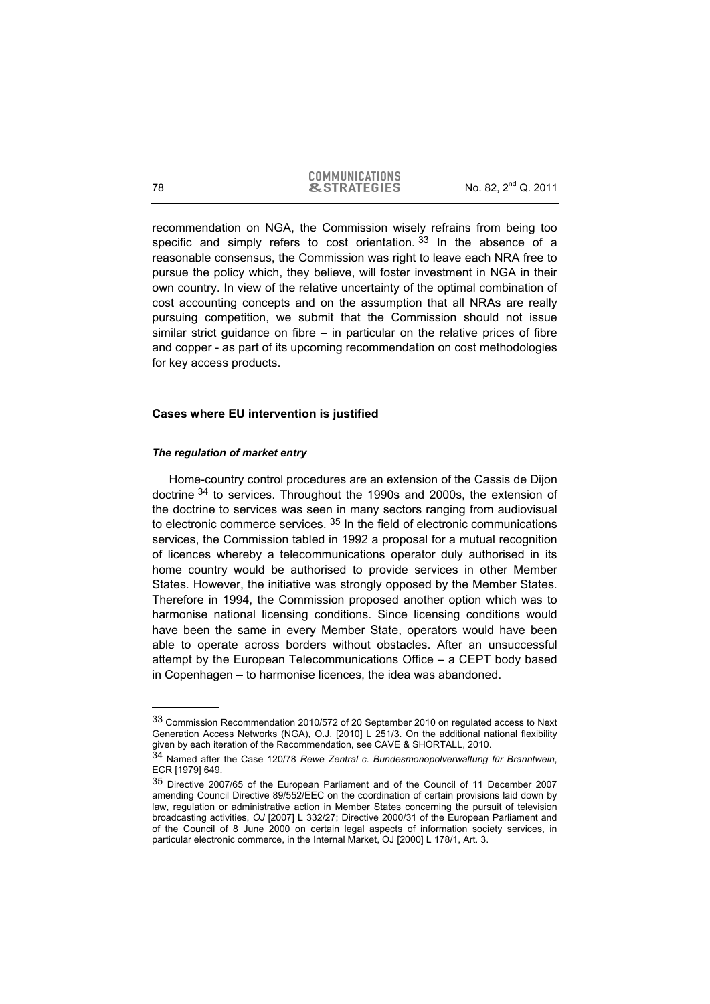recommendation on NGA, the Commission wisely refrains from being too specific and simply refers to cost orientation.  $33$  In the absence of a reasonable consensus, the Commission was right to leave each NRA free to pursue the policy which, they believe, will foster investment in NGA in their own country. In view of the relative uncertainty of the optimal combination of cost accounting concepts and on the assumption that all NRAs are really pursuing competition, we submit that the Commission should not issue similar strict guidance on fibre – in particular on the relative prices of fibre and copper - as part of its upcoming recommendation on cost methodologies for key access products.

## **Cases where EU intervention is justified**

#### *The regulation of market entry*

Home-country control procedures are an extension of the Cassis de Dijon doctrine 34 to services. Throughout the 1990s and 2000s, the extension of the doctrine to services was seen in many sectors ranging from audiovisual to electronic commerce services.  $35$  In the field of electronic communications services, the Commission tabled in 1992 a proposal for a mutual recognition of licences whereby a telecommunications operator duly authorised in its home country would be authorised to provide services in other Member States. However, the initiative was strongly opposed by the Member States. Therefore in 1994, the Commission proposed another option which was to harmonise national licensing conditions. Since licensing conditions would have been the same in every Member State, operators would have been able to operate across borders without obstacles. After an unsuccessful attempt by the European Telecommunications Office – a CEPT body based in Copenhagen – to harmonise licences, the idea was abandoned.

<sup>33</sup> Commission Recommendation 2010/572 of 20 September 2010 on regulated access to Next Generation Access Networks (NGA), O.J. [2010] L 251/3. On the additional national flexibility given by each iteration of the Recommendation, see CAVE & SHORTALL, 2010.

<sup>34</sup> Named after the Case 120/78 *Rewe Zentral c. Bundesmonopolverwaltung für Branntwein*, ECR [1979] 649.

<sup>35</sup> Directive 2007/65 of the European Parliament and of the Council of 11 December 2007 amending Council Directive 89/552/EEC on the coordination of certain provisions laid down by law, regulation or administrative action in Member States concerning the pursuit of television broadcasting activities, *OJ* [2007] L 332/27; Directive 2000/31 of the European Parliament and of the Council of 8 June 2000 on certain legal aspects of information society services, in particular electronic commerce, in the Internal Market, OJ [2000] L 178/1, Art. 3.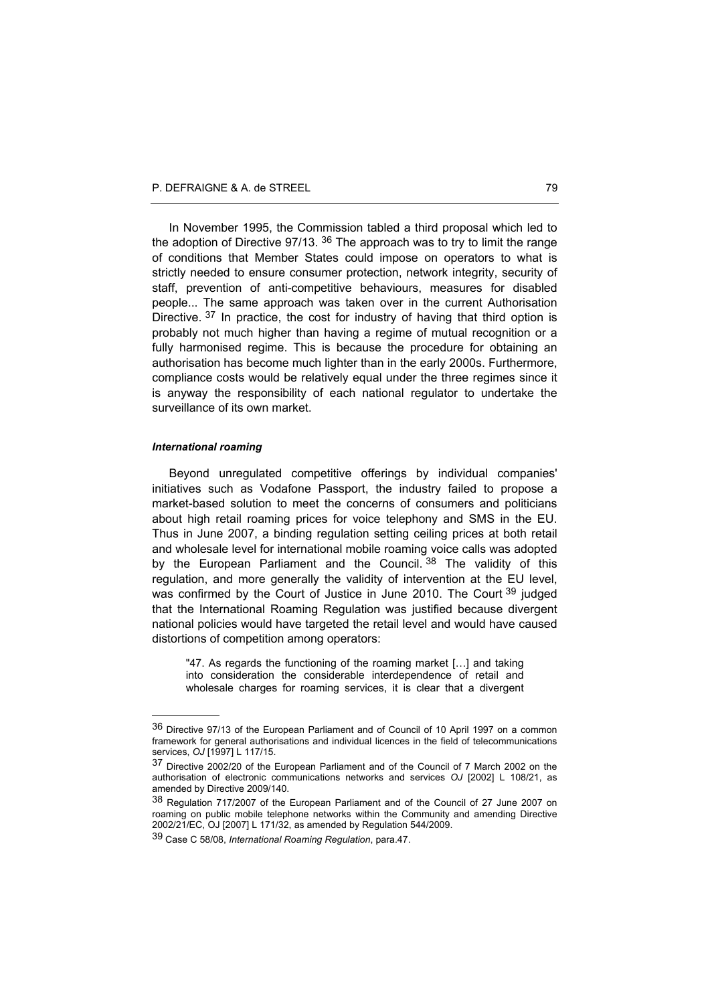In November 1995, the Commission tabled a third proposal which led to the adoption of Directive  $97/13$ .  $36$  The approach was to try to limit the range of conditions that Member States could impose on operators to what is strictly needed to ensure consumer protection, network integrity, security of staff, prevention of anti-competitive behaviours, measures for disabled people... The same approach was taken over in the current Authorisation Directive. 37 In practice, the cost for industry of having that third option is probably not much higher than having a regime of mutual recognition or a fully harmonised regime. This is because the procedure for obtaining an authorisation has become much lighter than in the early 2000s. Furthermore, compliance costs would be relatively equal under the three regimes since it is anyway the responsibility of each national regulator to undertake the surveillance of its own market.

#### *International roaming*

l

Beyond unregulated competitive offerings by individual companies' initiatives such as Vodafone Passport, the industry failed to propose a market-based solution to meet the concerns of consumers and politicians about high retail roaming prices for voice telephony and SMS in the EU. Thus in June 2007, a binding regulation setting ceiling prices at both retail and wholesale level for international mobile roaming voice calls was adopted by the European Parliament and the Council. 38 The validity of this regulation, and more generally the validity of intervention at the EU level, was confirmed by the Court of Justice in June 2010. The Court <sup>39</sup> judged that the International Roaming Regulation was justified because divergent national policies would have targeted the retail level and would have caused distortions of competition among operators:

"47. As regards the functioning of the roaming market […] and taking into consideration the considerable interdependence of retail and wholesale charges for roaming services, it is clear that a divergent

<sup>36</sup> Directive 97/13 of the European Parliament and of Council of 10 April 1997 on a common framework for general authorisations and individual licences in the field of telecommunications services, *OJ* [1997] L 117/15.

<sup>37</sup> Directive 2002/20 of the European Parliament and of the Council of 7 March 2002 on the authorisation of electronic communications networks and services *OJ* [2002] L 108/21, as amended by Directive 2009/140.

<sup>38</sup> Regulation 717/2007 of the European Parliament and of the Council of 27 June 2007 on roaming on public mobile telephone networks within the Community and amending Directive 2002/21/EC, OJ [2007] L 171/32, as amended by Regulation 544/2009.

<sup>39</sup> Case C 58/08, *International Roaming Regulation*, para.47.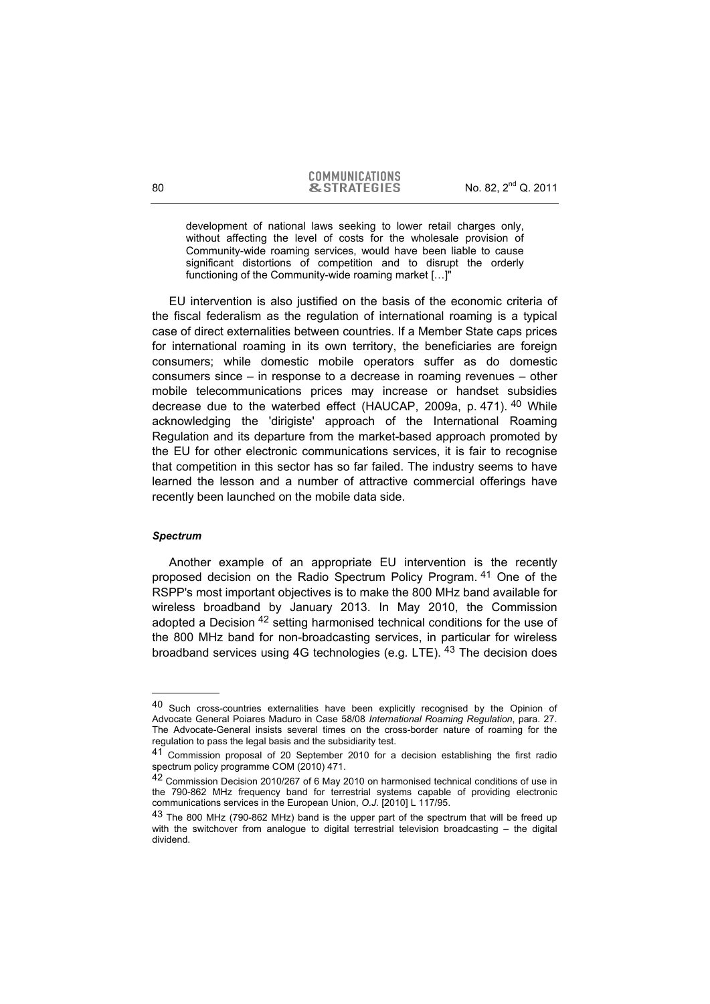development of national laws seeking to lower retail charges only, without affecting the level of costs for the wholesale provision of Community-wide roaming services, would have been liable to cause significant distortions of competition and to disrupt the orderly functioning of the Community-wide roaming market […]"

EU intervention is also justified on the basis of the economic criteria of the fiscal federalism as the regulation of international roaming is a typical case of direct externalities between countries. If a Member State caps prices for international roaming in its own territory, the beneficiaries are foreign consumers; while domestic mobile operators suffer as do domestic consumers since – in response to a decrease in roaming revenues – other mobile telecommunications prices may increase or handset subsidies decrease due to the waterbed effect (HAUCAP, 2009a, p. 471). 40 While acknowledging the 'dirigiste' approach of the International Roaming Regulation and its departure from the market-based approach promoted by the EU for other electronic communications services, it is fair to recognise that competition in this sector has so far failed. The industry seems to have learned the lesson and a number of attractive commercial offerings have recently been launched on the mobile data side.

#### *Spectrum*

l

Another example of an appropriate EU intervention is the recently proposed decision on the Radio Spectrum Policy Program. <sup>41</sup> One of the RSPP's most important objectives is to make the 800 MHz band available for wireless broadband by January 2013. In May 2010, the Commission adopted a Decision <sup>42</sup> setting harmonised technical conditions for the use of the 800 MHz band for non-broadcasting services, in particular for wireless broadband services using 4G technologies (e.g. LTE).  $43$  The decision does

<sup>40</sup> Such cross-countries externalities have been explicitly recognised by the Opinion of Advocate General Poiares Maduro in Case 58/08 *International Roaming Regulation*, para. 27. The Advocate-General insists several times on the cross-border nature of roaming for the regulation to pass the legal basis and the subsidiarity test.

<sup>41</sup> Commission proposal of 20 September 2010 for a decision establishing the first radio spectrum policy programme COM (2010) 471.

<sup>42</sup> Commission Decision 2010/267 of 6 May 2010 on harmonised technical conditions of use in the 790-862 MHz frequency band for terrestrial systems capable of providing electronic communications services in the European Union, *O.J.* [2010] L 117/95.

<sup>&</sup>lt;sup>43</sup> The 800 MHz (790-862 MHz) band is the upper part of the spectrum that will be freed up with the switchover from analogue to digital terrestrial television broadcasting – the digital dividend.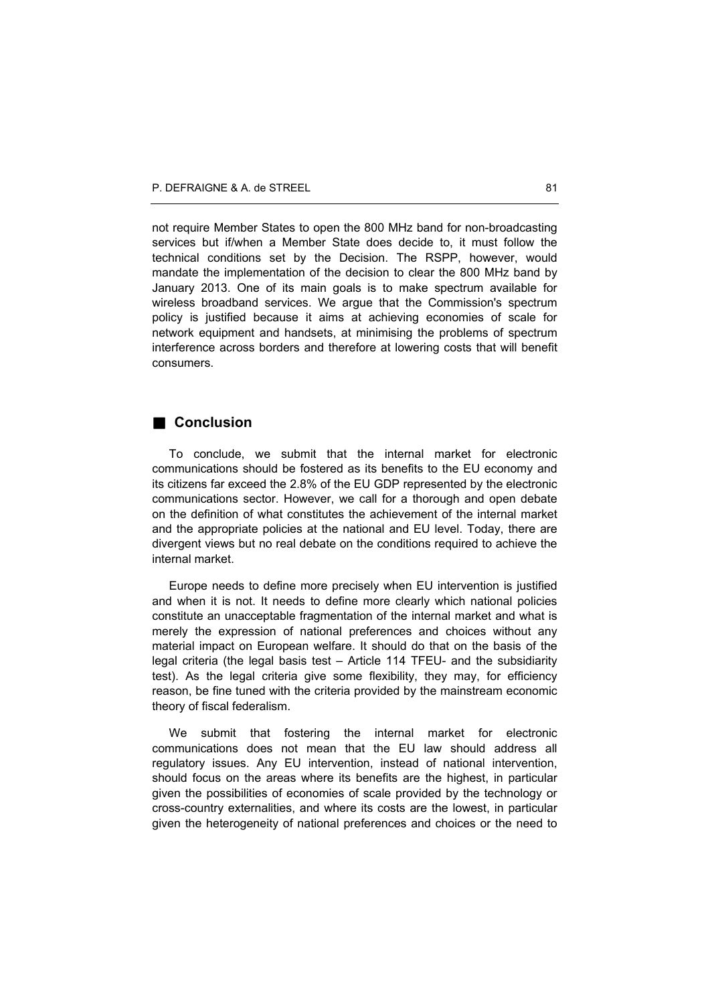not require Member States to open the 800 MHz band for non-broadcasting services but if/when a Member State does decide to, it must follow the technical conditions set by the Decision. The RSPP, however, would mandate the implementation of the decision to clear the 800 MHz band by January 2013. One of its main goals is to make spectrum available for wireless broadband services. We argue that the Commission's spectrum policy is justified because it aims at achieving economies of scale for network equipment and handsets, at minimising the problems of spectrum interference across borders and therefore at lowering costs that will benefit consumers.

## **Conclusion**

To conclude, we submit that the internal market for electronic communications should be fostered as its benefits to the EU economy and its citizens far exceed the 2.8% of the EU GDP represented by the electronic communications sector. However, we call for a thorough and open debate on the definition of what constitutes the achievement of the internal market and the appropriate policies at the national and EU level. Today, there are divergent views but no real debate on the conditions required to achieve the internal market.

Europe needs to define more precisely when EU intervention is justified and when it is not. It needs to define more clearly which national policies constitute an unacceptable fragmentation of the internal market and what is merely the expression of national preferences and choices without any material impact on European welfare. It should do that on the basis of the legal criteria (the legal basis test – Article 114 TFEU- and the subsidiarity test). As the legal criteria give some flexibility, they may, for efficiency reason, be fine tuned with the criteria provided by the mainstream economic theory of fiscal federalism.

We submit that fostering the internal market for electronic communications does not mean that the EU law should address all regulatory issues. Any EU intervention, instead of national intervention, should focus on the areas where its benefits are the highest, in particular given the possibilities of economies of scale provided by the technology or cross-country externalities, and where its costs are the lowest, in particular given the heterogeneity of national preferences and choices or the need to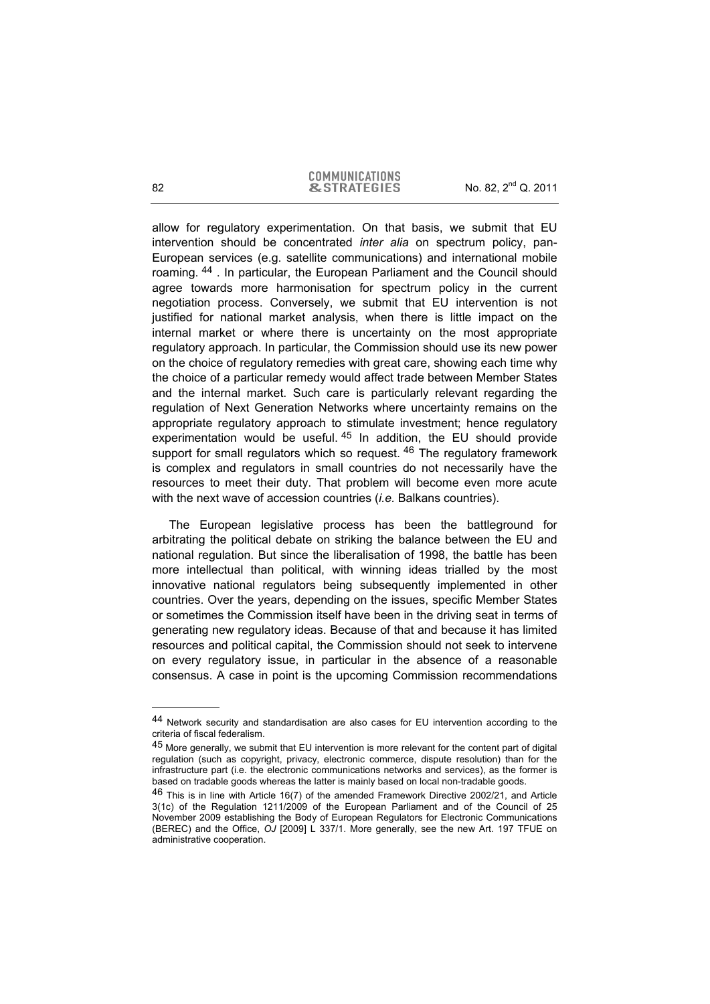#### **COMMUNICATIONS**  $\alpha$  STRATEGIES No. 82,  $2^{nd}$  Q. 2011

allow for regulatory experimentation. On that basis, we submit that EU intervention should be concentrated *inter alia* on spectrum policy, pan-European services (e.g. satellite communications) and international mobile roaming. 44 . In particular, the European Parliament and the Council should agree towards more harmonisation for spectrum policy in the current negotiation process. Conversely, we submit that EU intervention is not justified for national market analysis, when there is little impact on the internal market or where there is uncertainty on the most appropriate regulatory approach. In particular, the Commission should use its new power on the choice of regulatory remedies with great care, showing each time why the choice of a particular remedy would affect trade between Member States and the internal market. Such care is particularly relevant regarding the regulation of Next Generation Networks where uncertainty remains on the appropriate regulatory approach to stimulate investment; hence regulatory experimentation would be useful.<sup>45</sup> In addition, the EU should provide support for small regulators which so request. <sup>46</sup> The regulatory framework is complex and regulators in small countries do not necessarily have the resources to meet their duty. That problem will become even more acute with the next wave of accession countries (*i.e.* Balkans countries).

The European legislative process has been the battleground for arbitrating the political debate on striking the balance between the EU and national regulation. But since the liberalisation of 1998, the battle has been more intellectual than political, with winning ideas trialled by the most innovative national regulators being subsequently implemented in other countries. Over the years, depending on the issues, specific Member States or sometimes the Commission itself have been in the driving seat in terms of generating new regulatory ideas. Because of that and because it has limited resources and political capital, the Commission should not seek to intervene on every regulatory issue, in particular in the absence of a reasonable consensus. A case in point is the upcoming Commission recommendations

<sup>44</sup> Network security and standardisation are also cases for EU intervention according to the criteria of fiscal federalism.

<sup>45</sup> More generally, we submit that EU intervention is more relevant for the content part of digital regulation (such as copyright, privacy, electronic commerce, dispute resolution) than for the infrastructure part (i.e. the electronic communications networks and services), as the former is based on tradable goods whereas the latter is mainly based on local non-tradable goods.

<sup>46</sup> This is in line with Article 16(7) of the amended Framework Directive 2002/21, and Article 3(1c) of the Regulation 1211/2009 of the European Parliament and of the Council of 25 November 2009 establishing the Body of European Regulators for Electronic Communications (BEREC) and the Office, *OJ* [2009] L 337/1. More generally, see the new Art. 197 TFUE on administrative cooperation.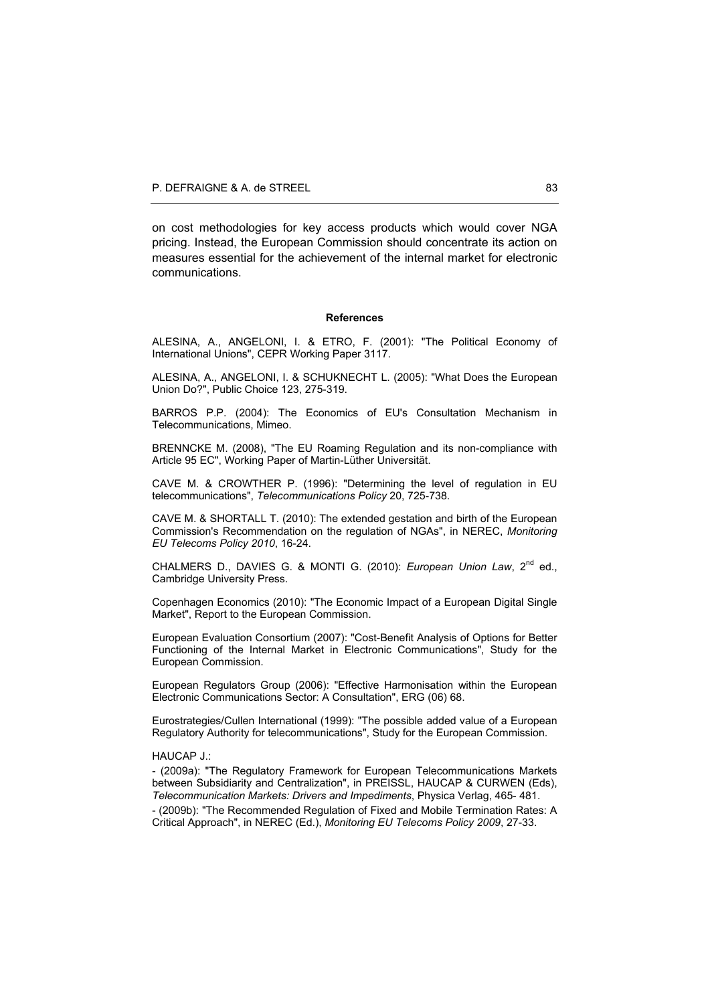on cost methodologies for key access products which would cover NGA pricing. Instead, the European Commission should concentrate its action on measures essential for the achievement of the internal market for electronic communications.

#### **References**

ALESINA, A., ANGELONI, I. & ETRO, F. (2001): "The Political Economy of International Unions", CEPR Working Paper 3117.

ALESINA, A., ANGELONI, I. & SCHUKNECHT L. (2005): "What Does the European Union Do?", Public Choice 123, 275-319.

BARROS P.P. (2004): The Economics of EU's Consultation Mechanism in Telecommunications, Mimeo.

BRENNCKE M. (2008), "The EU Roaming Regulation and its non-compliance with Article 95 EC", Working Paper of Martin-Lüther Universität.

CAVE M. & CROWTHER P. (1996): "Determining the level of regulation in EU telecommunications", *Telecommunications Policy* 20, 725-738.

CAVE M. & SHORTALL T. (2010): The extended gestation and birth of the European Commission's Recommendation on the regulation of NGAs", in NEREC, *Monitoring EU Telecoms Policy 2010*, 16-24.

CHALMERS D., DAVIES G. & MONTI G. (2010): *European Union Law*, 2<sup>nd</sup> ed., Cambridge University Press.

Copenhagen Economics (2010): "The Economic Impact of a European Digital Single Market", Report to the European Commission.

European Evaluation Consortium (2007): "Cost-Benefit Analysis of Options for Better Functioning of the Internal Market in Electronic Communications", Study for the European Commission.

European Regulators Group (2006): "Effective Harmonisation within the European Electronic Communications Sector: A Consultation", ERG (06) 68.

Eurostrategies/Cullen International (1999): "The possible added value of a European Regulatory Authority for telecommunications", Study for the European Commission.

#### HAUCAP J.:

- (2009a): "The Regulatory Framework for European Telecommunications Markets between Subsidiarity and Centralization", in PREISSL, HAUCAP & CURWEN (Eds), *Telecommunication Markets: Drivers and Impediments*, Physica Verlag, 465- 481. - (2009b): "The Recommended Regulation of Fixed and Mobile Termination Rates: A Critical Approach", in NEREC (Ed.), *Monitoring EU Telecoms Policy 2009*, 27-33.